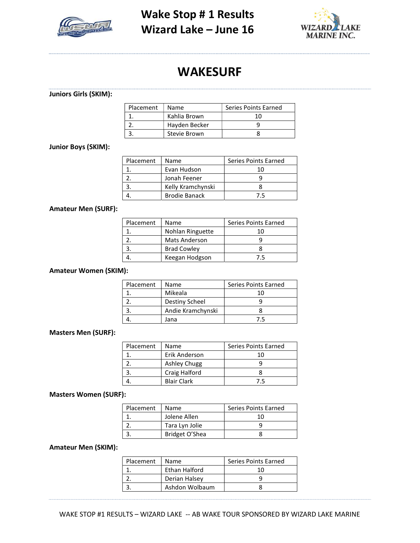



## WAKESURF

Juniors Girls (SKIM):

| Placement | Name          | Series Points Earned |
|-----------|---------------|----------------------|
|           | Kahlia Brown  | 10                   |
|           | Hayden Becker |                      |
|           | Stevie Brown  |                      |

#### Junior Boys (SKIM):

| Placement | Name                 | Series Points Earned |
|-----------|----------------------|----------------------|
|           | Evan Hudson          |                      |
|           | Jonah Feener         |                      |
|           | Kelly Kramchynski    |                      |
|           | <b>Brodie Banack</b> | 7.5                  |

#### Amateur Men (SURF):

| Placement | Name               | Series Points Earned |
|-----------|--------------------|----------------------|
|           | Nohlan Ringuette   |                      |
|           | Mats Anderson      |                      |
| 3.        | <b>Brad Cowley</b> |                      |
|           | Keegan Hodgson     | 75                   |

### Amateur Women (SKIM):

| Placement | Name                  | Series Points Earned |
|-----------|-----------------------|----------------------|
|           | Mikeala               | 10                   |
|           | <b>Destiny Scheel</b> |                      |
|           | Andie Kramchynski     |                      |
|           | Jana                  | 75                   |

#### Masters Men (SURF):

| Placement | Name                | Series Points Earned |
|-----------|---------------------|----------------------|
|           | Erik Anderson       |                      |
|           | <b>Ashley Chugg</b> |                      |
|           | Craig Halford       |                      |
|           | <b>Blair Clark</b>  | 7.5                  |

#### Masters Women (SURF):

| Placement | Name           | Series Points Earned |
|-----------|----------------|----------------------|
|           | Jolene Allen   | 1 N                  |
|           | Tara Lyn Jolie |                      |
|           | Bridget O'Shea |                      |
|           |                |                      |

#### Amateur Men (SKIM):

| Placement | Name           | Series Points Earned |
|-----------|----------------|----------------------|
|           | Ethan Halford  |                      |
|           | Derian Halsey  |                      |
|           | Ashdon Wolbaum |                      |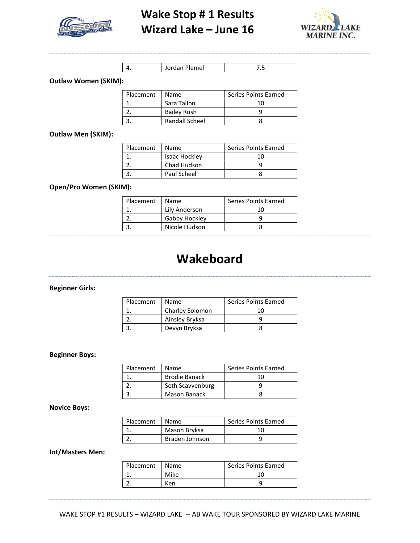

Wake Stop # 1 Results Wizard Lake – June 16



| Jordan Plemel | . . |
|---------------|-----|
|               |     |

#### Outlaw Women (SKIM):

| Placement | Name               | Series Points Earned |
|-----------|--------------------|----------------------|
|           | Sara Tallon        | 10                   |
|           | <b>Bailey Rush</b> |                      |
|           | Randall Scheel     |                      |

#### Outlaw Men (SKIM):

| Placement | <b>Name</b>   | Series Points Earned |
|-----------|---------------|----------------------|
|           | Isaac Hockley | 10                   |
|           | Chad Hudson   |                      |
|           | Paul Scheel   |                      |

#### Open/Pro Women (SKIM):

| Placement | Name          | Series Points Earned |
|-----------|---------------|----------------------|
|           | Lily Anderson |                      |
|           | Gabby Hockley |                      |
|           | Nicole Hudson |                      |

# Wakeboard

#### Beginner Girls:

| Placement | Name            | Series Points Earned |
|-----------|-----------------|----------------------|
|           | Charley Solomon |                      |
|           | Ainsley Bryksa  |                      |
|           | Devyn Bryksa    |                      |

#### Beginner Boys:

| Placement | Name                 | Series Points Earned |
|-----------|----------------------|----------------------|
|           | <b>Brodie Banack</b> | 10                   |
|           | Seth Scavvenburg     |                      |
|           | Mason Banack         |                      |

#### Novice Boys:

| Placement | Name           | Series Points Earned |
|-----------|----------------|----------------------|
|           | Mason Bryksa   |                      |
|           | Braden Johnson |                      |

#### Int/Masters Men:

| Placement | Name | Series Points Earned |
|-----------|------|----------------------|
|           | Mike |                      |
|           | Ken  |                      |